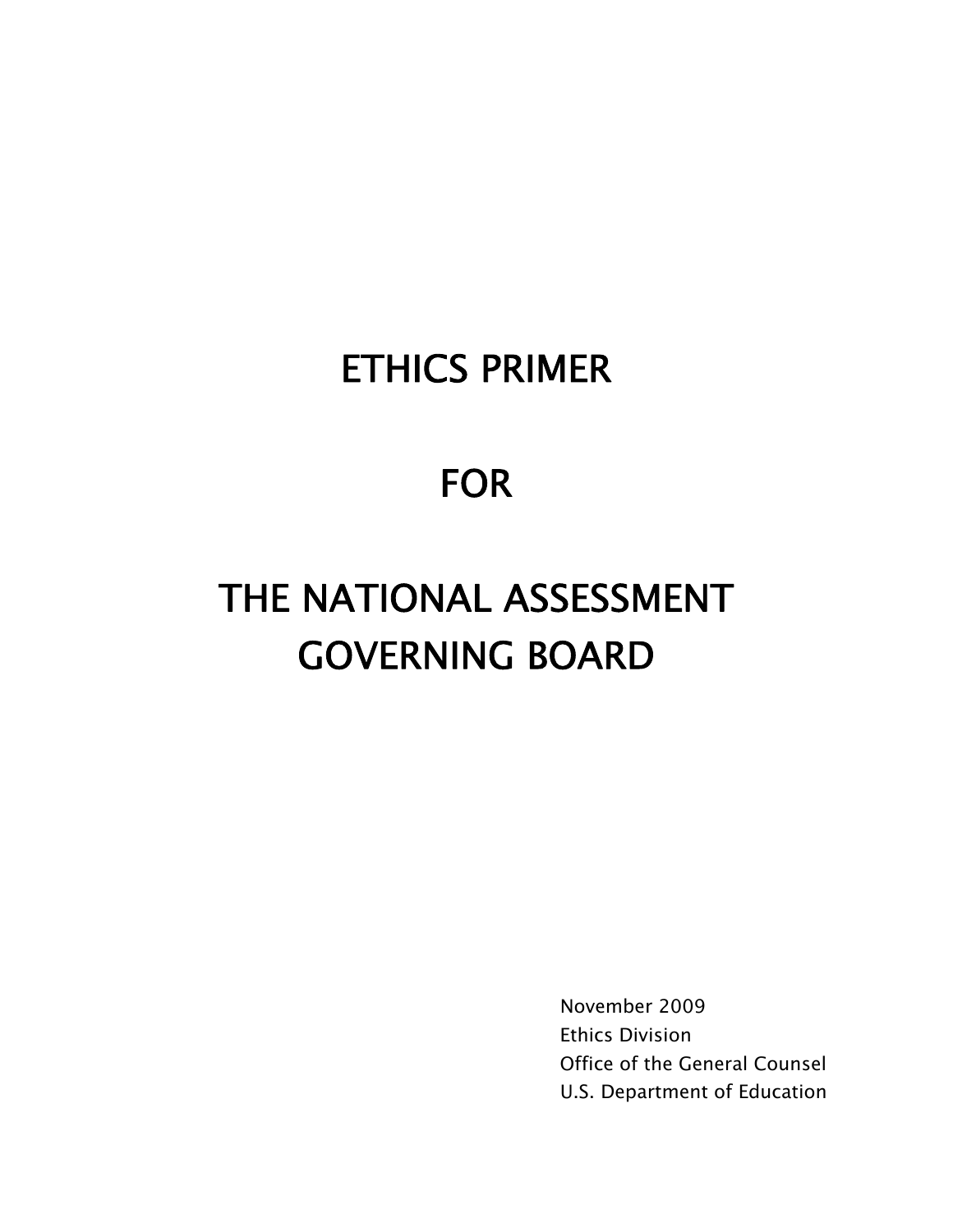## ETHICS PRIMER

## FOR

# THE NATIONAL ASSESSMENT GOVERNING BOARD

 Ethics Division Office of the General Counsel U.S. Department of Education November 2009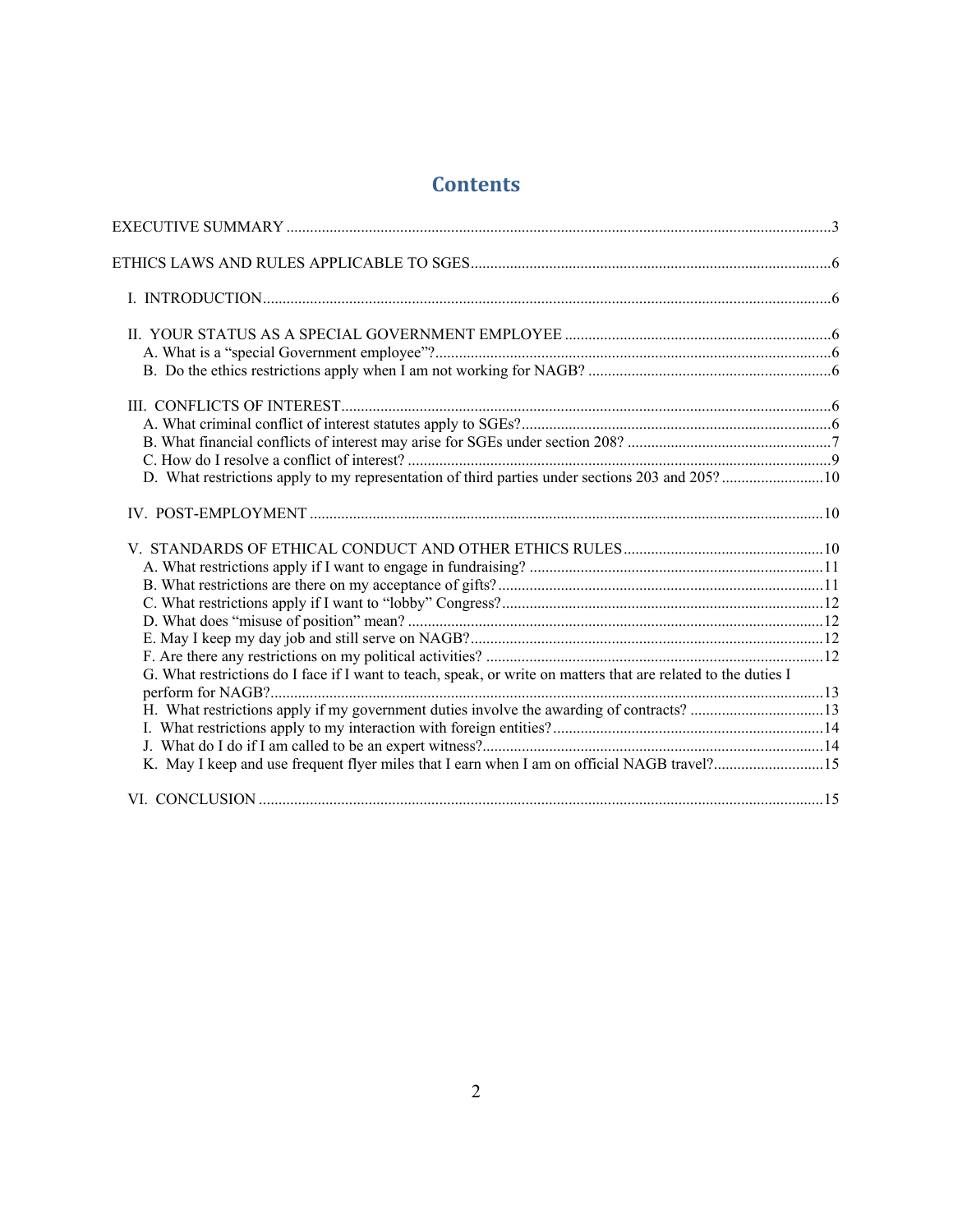### **Contents**

| D. What restrictions apply to my representation of third parties under sections 203 and 205?10                 |  |
|----------------------------------------------------------------------------------------------------------------|--|
|                                                                                                                |  |
|                                                                                                                |  |
|                                                                                                                |  |
|                                                                                                                |  |
|                                                                                                                |  |
|                                                                                                                |  |
|                                                                                                                |  |
|                                                                                                                |  |
|                                                                                                                |  |
| G. What restrictions do I face if I want to teach, speak, or write on matters that are related to the duties I |  |
|                                                                                                                |  |
|                                                                                                                |  |
|                                                                                                                |  |
|                                                                                                                |  |
|                                                                                                                |  |
|                                                                                                                |  |
|                                                                                                                |  |
| $\overline{2}$                                                                                                 |  |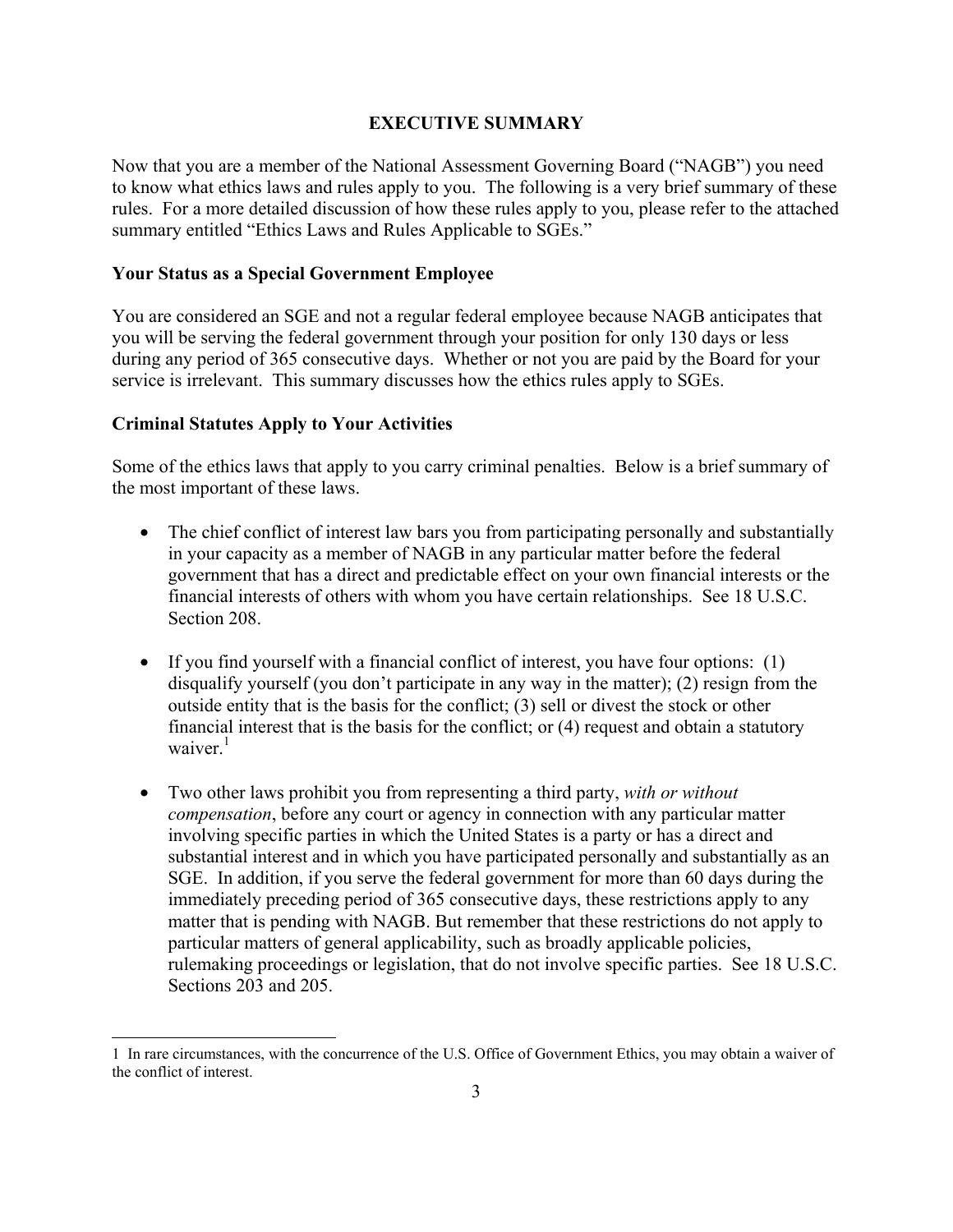#### **EXECUTIVE SUMMARY**

<span id="page-2-0"></span>Now that you are a member of the National Assessment Governing Board ("NAGB") you need to know what ethics laws and rules apply to you. The following is a very brief summary of these rules. For a more detailed discussion of how these rules apply to you, please refer to the attached summary entitled "Ethics Laws and Rules Applicable to SGEs."

#### **Your Status as a Special Government Employee**

You are considered an SGE and not a regular federal employee because NAGB anticipates that you will be serving the federal government through your position for only 130 days or less during any period of 365 consecutive days. Whether or not you are paid by the Board for your service is irrelevant. This summary discusses how the ethics rules apply to SGEs.

#### **Criminal Statutes Apply to Your Activities**

 $\overline{a}$ 

Some of the ethics laws that apply to you carry criminal penalties. Below is a brief summary of the most important of these laws.

- The chief conflict of interest law bars you from participating personally and substantially in your capacity as a member of NAGB in any particular matter before the federal government that has a direct and predictable effect on your own financial interests or the financial interests of others with whom you have certain relationships. See 18 U.S.C. Section 208.
- If you find yourself with a financial conflict of interest, you have four options: (1) disqualify yourself (you don't participate in any way in the matter); (2) resign from the outside entity that is the basis for the conflict; (3) sell or divest the stock or other financial interest that is the basis for the conflict; or (4) request and obtain a statutory waiver.<sup>1</sup>
- •Two other laws prohibit you from representing a third party, *with or without compensation*, before any court or agency in connection with any particular matter involving specific parties in which the United States is a party or has a direct and substantial interest and in which you have participated personally and substantially as an SGE. In addition, if you serve the federal government for more than 60 days during the immediately preceding period of 365 consecutive days, these restrictions apply to any matter that is pending with NAGB. But remember that these restrictions do not apply to particular matters of general applicability, such as broadly applicable policies, rulemaking proceedings or legislation, that do not involve specific parties. See 18 U.S.C. Sections 203 and 205.

 1 In rare circumstances, with the concurrence of the U.S. Office of Government Ethics, you may obtain a waiver of the conflict of interest.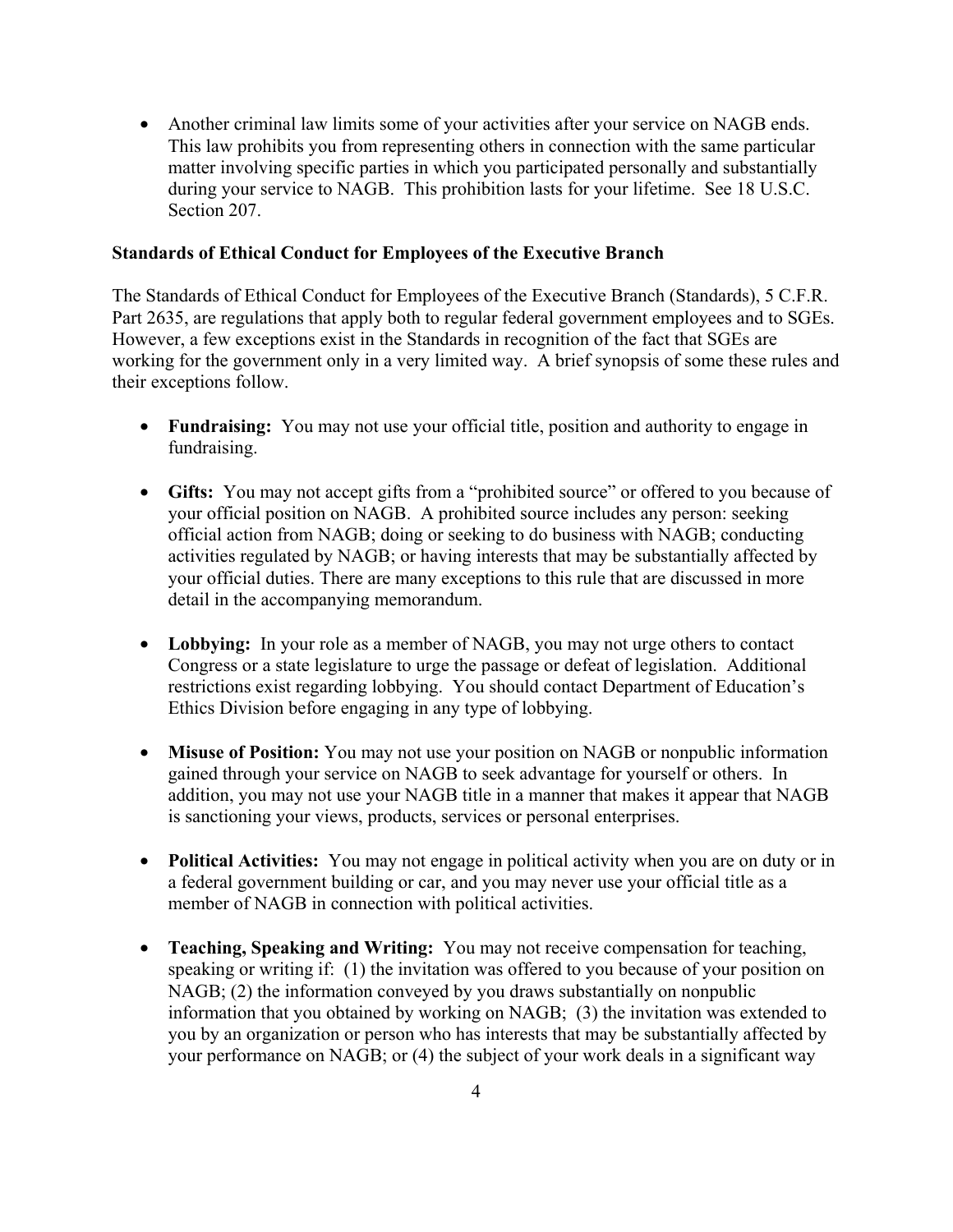•Another criminal law limits some of your activities after your service on NAGB ends. This law prohibits you from representing others in connection with the same particular matter involving specific parties in which you participated personally and substantially during your service to NAGB. This prohibition lasts for your lifetime. See 18 U.S.C. Section 207.

#### **Standards of Ethical Conduct for Employees of the Executive Branch**

The Standards of Ethical Conduct for Employees of the Executive Branch (Standards), 5 C.F.R. Part 2635, are regulations that apply both to regular federal government employees and to SGEs. However, a few exceptions exist in the Standards in recognition of the fact that SGEs are working for the government only in a very limited way. A brief synopsis of some these rules and their exceptions follow.

- •**Fundraising:** You may not use your official title, position and authority to engage in fundraising.
- •**Gifts:** You may not accept gifts from a "prohibited source" or offered to you because of your official position on NAGB. A prohibited source includes any person: seeking official action from NAGB; doing or seeking to do business with NAGB; conducting activities regulated by NAGB; or having interests that may be substantially affected by your official duties. There are many exceptions to this rule that are discussed in more detail in the accompanying memorandum.
- •**Lobbying:** In your role as a member of NAGB, you may not urge others to contact Congress or a state legislature to urge the passage or defeat of legislation. Additional restrictions exist regarding lobbying. You should contact Department of Education's Ethics Division before engaging in any type of lobbying.
- •**Misuse of Position:** You may not use your position on NAGB or nonpublic information gained through your service on NAGB to seek advantage for yourself or others. In addition, you may not use your NAGB title in a manner that makes it appear that NAGB is sanctioning your views, products, services or personal enterprises.
- •**Political Activities:** You may not engage in political activity when you are on duty or in a federal government building or car, and you may never use your official title as a member of NAGB in connection with political activities.
- •**Teaching, Speaking and Writing:** You may not receive compensation for teaching, speaking or writing if: (1) the invitation was offered to you because of your position on NAGB; (2) the information conveyed by you draws substantially on nonpublic information that you obtained by working on NAGB; (3) the invitation was extended to you by an organization or person who has interests that may be substantially affected by your performance on NAGB; or (4) the subject of your work deals in a significant way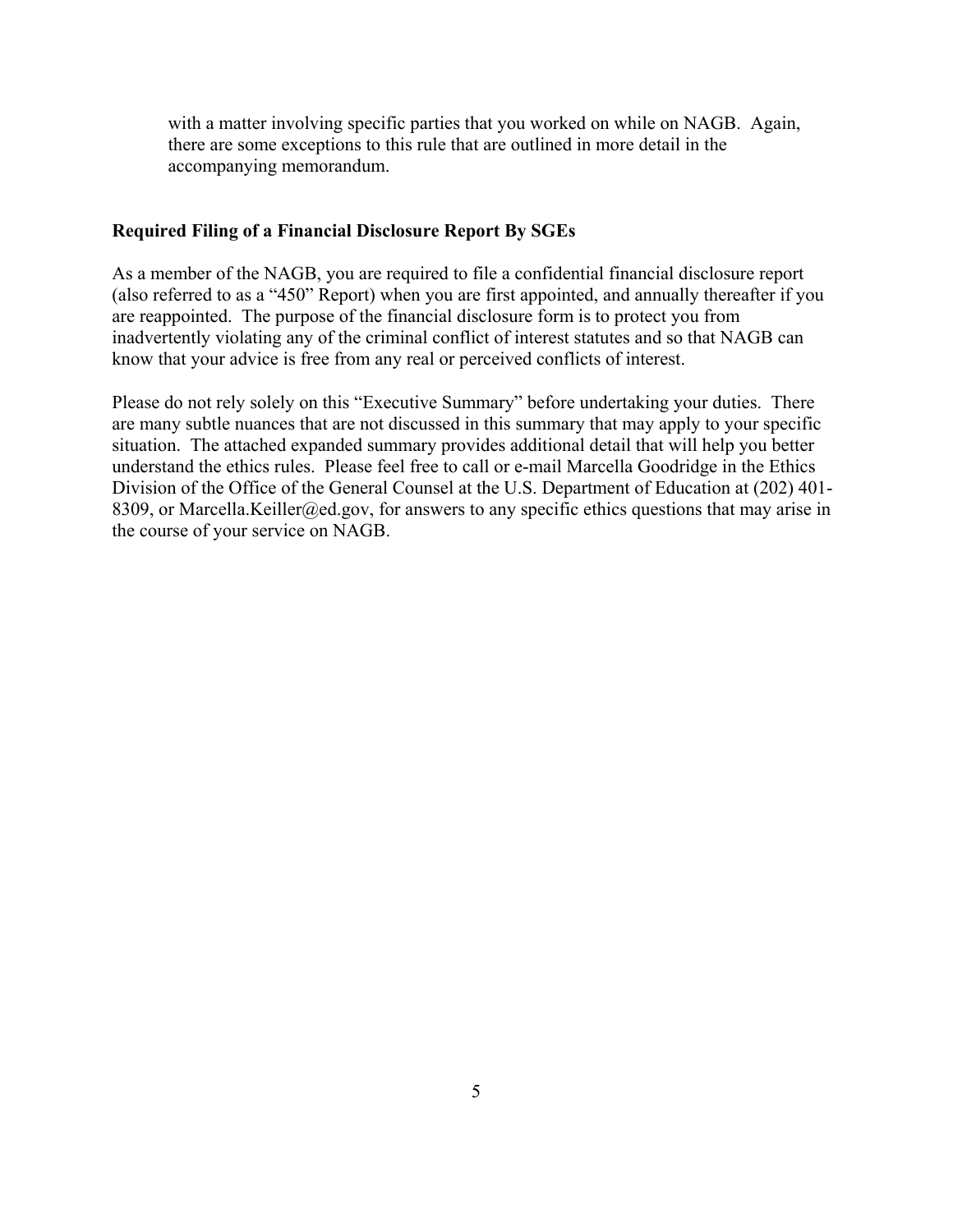with a matter involving specific parties that you worked on while on NAGB. Again, there are some exceptions to this rule that are outlined in more detail in the accompanying memorandum.

#### **Required Filing of a Financial Disclosure Report By SGEs**

As a member of the NAGB, you are required to file a confidential financial disclosure report (also referred to as a "450" Report) when you are first appointed, and annually thereafter if you are reappointed. The purpose of the financial disclosure form is to protect you from inadvertently violating any of the criminal conflict of interest statutes and so that NAGB can know that your advice is free from any real or perceived conflicts of interest.

Please do not rely solely on this "Executive Summary" before undertaking your duties. There are many subtle nuances that are not discussed in this summary that may apply to your specific situation. The attached expanded summary provides additional detail that will help you better understand the ethics rules. Please feel free to call or e-mail Marcella Goodridge in the Ethics Division of the Office of the General Counsel at the U.S. Department of Education at (202) 401- 8309, or Marcella.Keiller@ed.gov, for answers to any specific ethics questions that may arise in the course of your service on NAGB.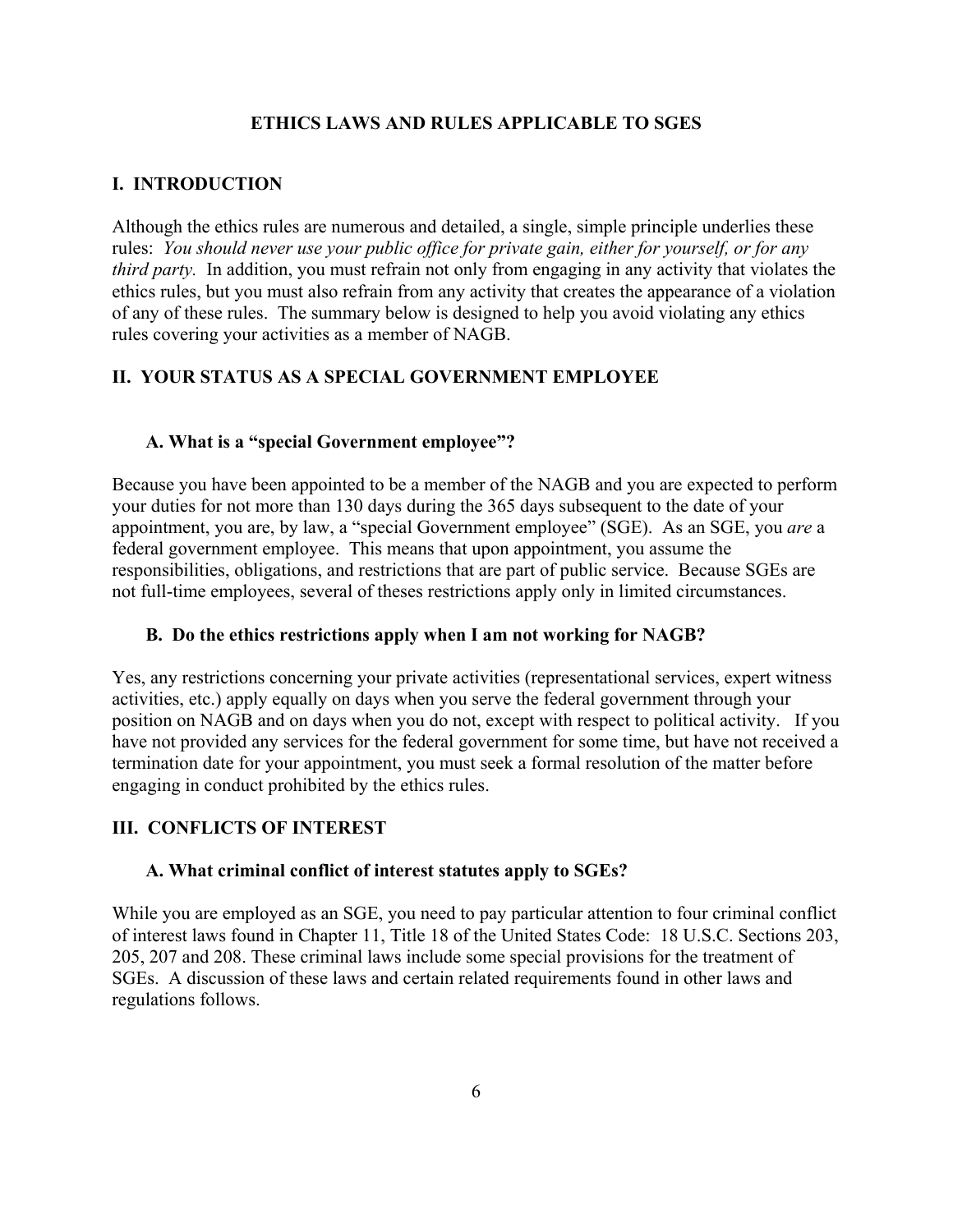#### **ETHICS LAWS AND RULES APPLICABLE TO SGES**

#### <span id="page-5-0"></span>**I. INTRODUCTION**

 rules: *You should never use your public office for private gain, either for yourself, or for any*  Although the ethics rules are numerous and detailed, a single, simple principle underlies these *third party.* In addition, you must refrain not only from engaging in any activity that violates the ethics rules, but you must also refrain from any activity that creates the appearance of a violation of any of these rules. The summary below is designed to help you avoid violating any ethics rules covering your activities as a member of NAGB.

#### **II. YOUR STATUS AS A SPECIAL GOVERNMENT EMPLOYEE**

#### **A. What is a "special Government employee"?**

Because you have been appointed to be a member of the NAGB and you are expected to perform your duties for not more than 130 days during the 365 days subsequent to the date of your appointment, you are, by law, a "special Government employee" (SGE). As an SGE, you *are* a federal government employee. This means that upon appointment, you assume the responsibilities, obligations, and restrictions that are part of public service. Because SGEs are not full-time employees, several of theses restrictions apply only in limited circumstances.

#### **B. Do the ethics restrictions apply when I am not working for NAGB?**

Yes, any restrictions concerning your private activities (representational services, expert witness activities, etc.) apply equally on days when you serve the federal government through your position on NAGB and on days when you do not, except with respect to political activity. If you have not provided any services for the federal government for some time, but have not received a termination date for your appointment, you must seek a formal resolution of the matter before engaging in conduct prohibited by the ethics rules.

#### **III. CONFLICTS OF INTEREST**

#### **A. What criminal conflict of interest statutes apply to SGEs?**

While you are employed as an SGE, you need to pay particular attention to four criminal conflict of interest laws found in Chapter 11, Title 18 of the United States Code: 18 U.S.C. Sections 203, 205, 207 and 208. These criminal laws include some special provisions for the treatment of SGEs. A discussion of these laws and certain related requirements found in other laws and regulations follows.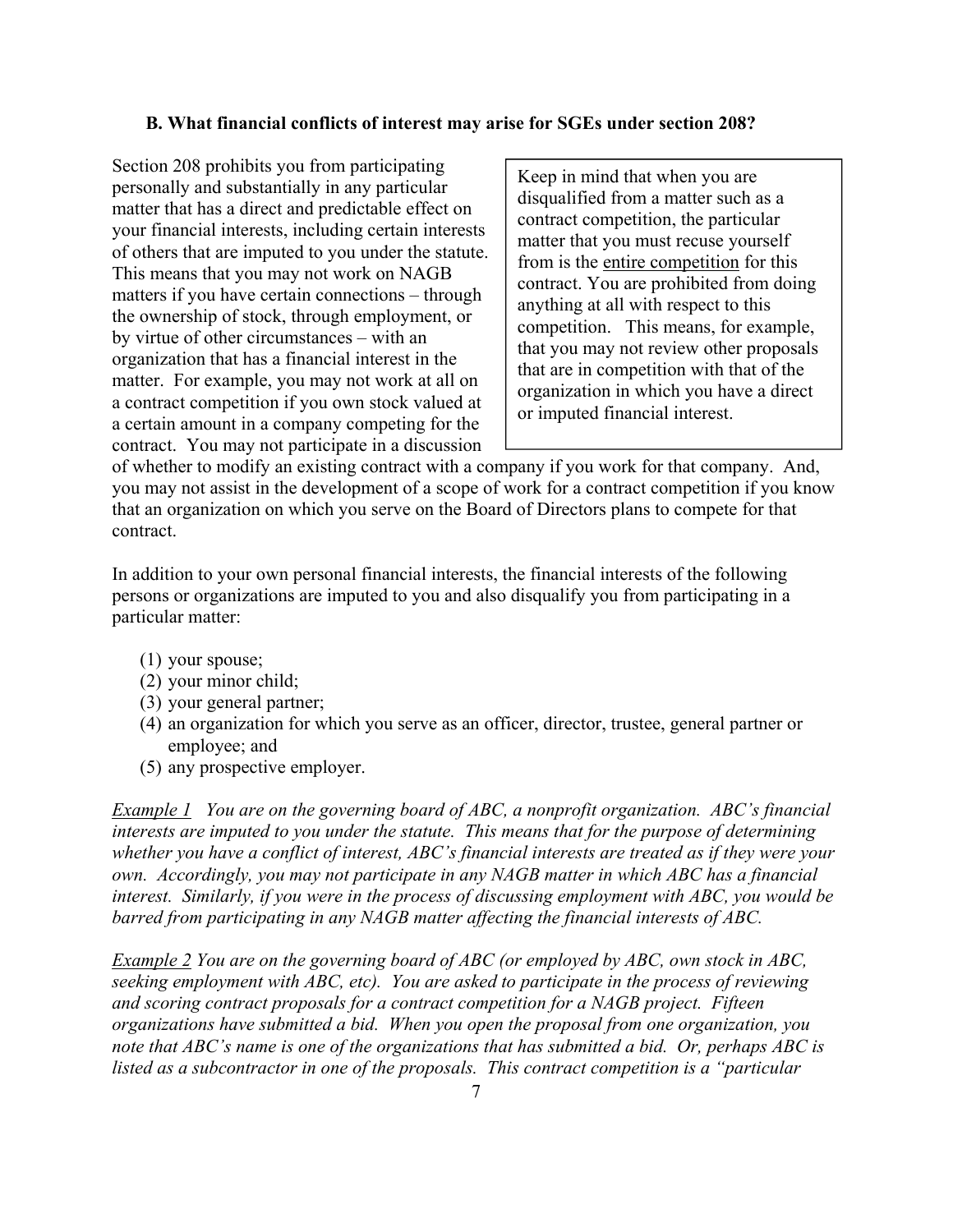#### <span id="page-6-0"></span>**B. What financial conflicts of interest may arise for SGEs under section 208?**

Section 208 prohibits you from participating personally and substantially in any particular matter that has a direct and predictable effect on your financial interests, including certain interests of others that are imputed to you under the statute. This means that you may not work on NAGB matters if you have certain connections – through the ownership of stock, through employment, or by virtue of other circumstances – with an organization that has a financial interest in the matter. For example, you may not work at all on a contract competition if you own stock valued at a certain amount in a company competing for the contract. You may not participate in a discussion

Keep in mind that when you are disqualified from a matter such as a contract competition, the particular matter that you must recuse yourself from is the entire competition for this contract. You are prohibited from doing anything at all with respect to this competition. This means, for example, that you may not review other proposals that are in competition with that of the organization in which you have a direct or imputed financial interest.

of whether to modify an existing contract with a company if you work for that company. And, you may not assist in the development of a scope of work for a contract competition if you know that an organization on which you serve on the Board of Directors plans to compete for that contract.

In addition to your own personal financial interests, the financial interests of the following persons or organizations are imputed to you and also disqualify you from participating in a particular matter:

- (1) your spouse;
- (2) your minor child;
- (3) your general partner;
- (4) an organization for which you serve as an officer, director, trustee, general partner or employee; and
- (5) any prospective employer.

*Example 1 You are on the governing board of ABC, a nonprofit organization. ABC's financial interests are imputed to you under the statute. This means that for the purpose of determining whether you have a conflict of interest, ABC's financial interests are treated as if they were your own. Accordingly, you may not participate in any NAGB matter in which ABC has a financial interest. Similarly, if you were in the process of discussing employment with ABC, you would be barred from participating in any NAGB matter affecting the financial interests of ABC.* 

*Example 2 You are on the governing board of ABC (or employed by ABC, own stock in ABC, seeking employment with ABC, etc). You are asked to participate in the process of reviewing and scoring contract proposals for a contract competition for a NAGB project. Fifteen organizations have submitted a bid. When you open the proposal from one organization, you note that ABC's name is one of the organizations that has submitted a bid. Or, perhaps ABC is listed as a subcontractor in one of the proposals. This contract competition is a "particular*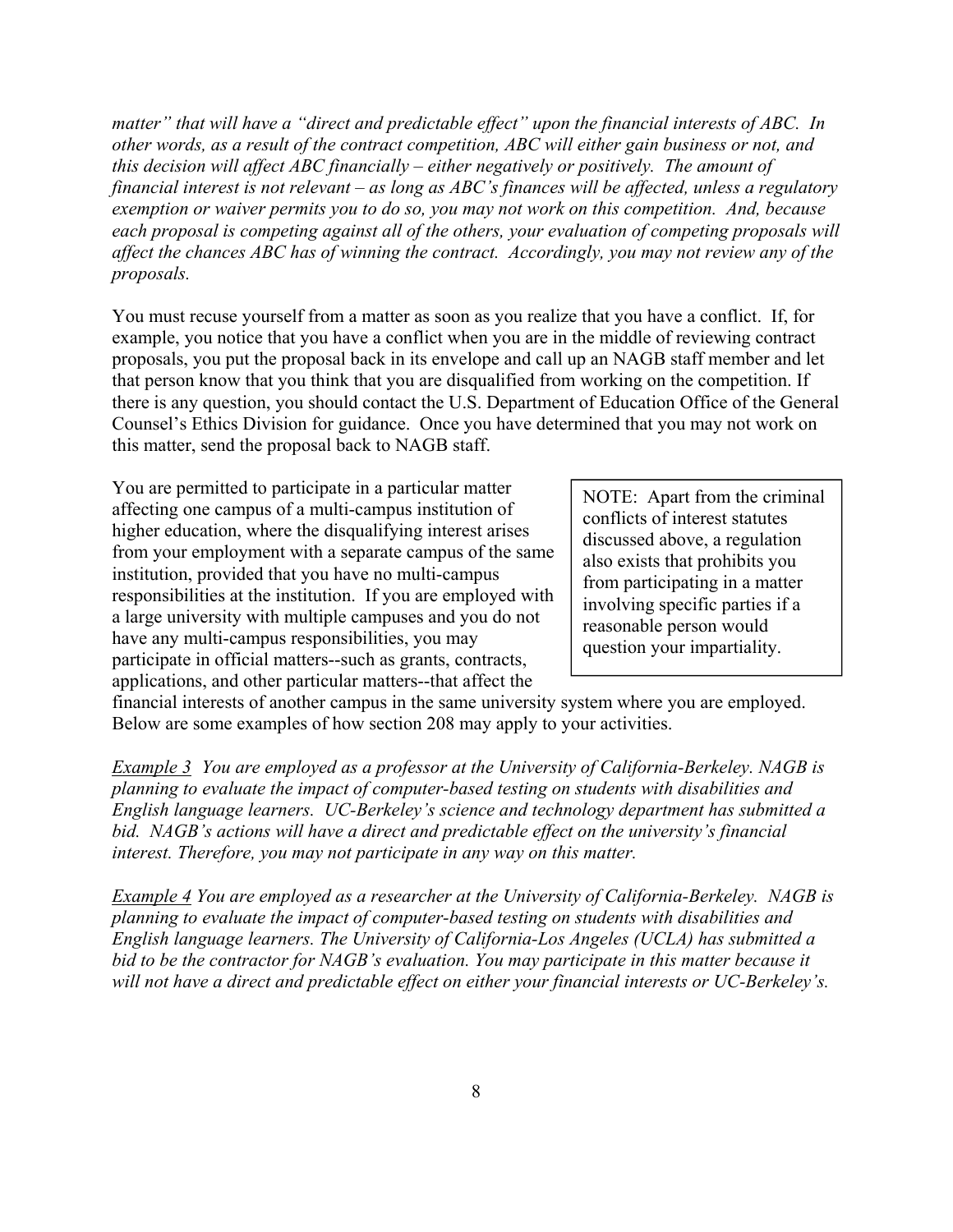*matter" that will have a "direct and predictable effect" upon the financial interests of ABC. In other words, as a result of the contract competition, ABC will either gain business or not, and this decision will affect ABC financially – either negatively or positively. The amount of financial interest is not relevant – as long as ABC's finances will be affected, unless a regulatory exemption or waiver permits you to do so, you may not work on this competition. And, because each proposal is competing against all of the others, your evaluation of competing proposals will affect the chances ABC has of winning the contract. Accordingly, you may not review any of the proposals.* 

You must recuse yourself from a matter as soon as you realize that you have a conflict. If, for example, you notice that you have a conflict when you are in the middle of reviewing contract proposals, you put the proposal back in its envelope and call up an NAGB staff member and let that person know that you think that you are disqualified from working on the competition. If there is any question, you should contact the U.S. Department of Education Office of the General Counsel's Ethics Division for guidance. Once you have determined that you may not work on this matter, send the proposal back to NAGB staff.

You are permitted to participate in a particular matter affecting one campus of a multi-campus institution of higher education, where the disqualifying interest arises from your employment with a separate campus of the same institution, provided that you have no multi-campus responsibilities at the institution. If you are employed with a large university with multiple campuses and you do not have any multi-campus responsibilities, you may participate in official matters--such as grants, contracts, applications, and other particular matters--that affect the

NOTE: Apart from the criminal conflicts of interest statutes discussed above, a regulation also exists that prohibits you from participating in a matter involving specific parties if a reasonable person would question your impartiality.

financial interests of another campus in the same university system where you are employed. Below are some examples of how section 208 may apply to your activities.

*Example 3 You are employed as a professor at the University of California-Berkeley. NAGB is planning to evaluate the impact of computer-based testing on students with disabilities and English language learners. UC-Berkeley's science and technology department has submitted a bid. NAGB's actions will have a direct and predictable effect on the university's financial interest. Therefore, you may not participate in any way on this matter.* 

*Example 4 You are employed as a researcher at the University of California-Berkeley. NAGB is planning to evaluate the impact of computer-based testing on students with disabilities and English language learners. The University of California-Los Angeles (UCLA) has submitted a bid to be the contractor for NAGB's evaluation. You may participate in this matter because it will not have a direct and predictable effect on either your financial interests or UC-Berkeley's.*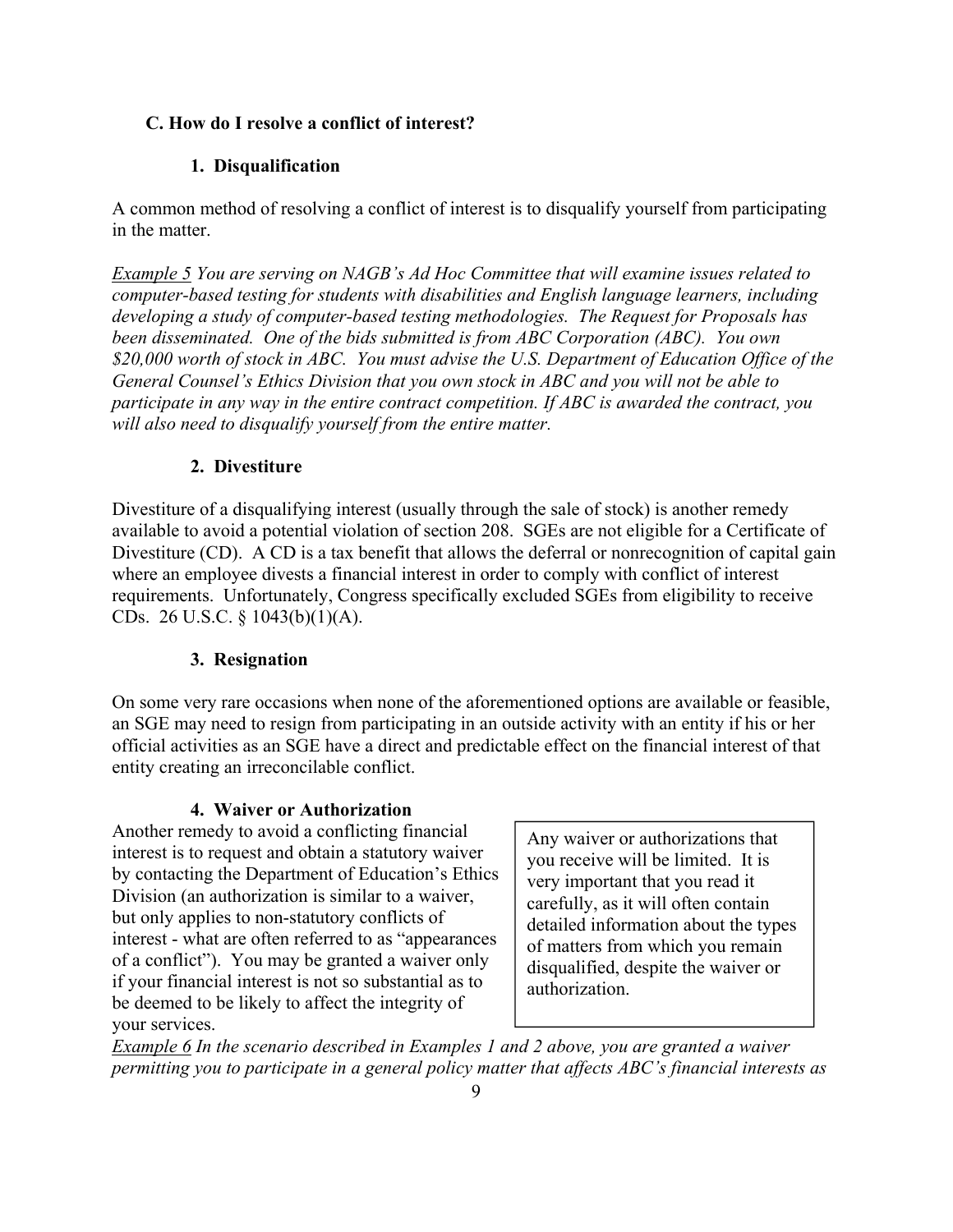#### <span id="page-8-0"></span>**C. How do I resolve a conflict of interest?**

#### **1. Disqualification**

 in the matter. A common method of resolving a conflict of interest is to disqualify yourself from participating

*Example 5 You are serving on NAGB's Ad Hoc Committee that will examine issues related to computer-based testing for students with disabilities and English language learners, including developing a study of computer-based testing methodologies. The Request for Proposals has been disseminated. One of the bids submitted is from ABC Corporation (ABC). You own \$20,000 worth of stock in ABC. You must advise the U.S. Department of Education Office of the General Counsel's Ethics Division that you own stock in ABC and you will not be able to participate in any way in the entire contract competition. If ABC is awarded the contract, you will also need to disqualify yourself from the entire matter.* 

#### **2. Divestiture**

Divestiture of a disqualifying interest (usually through the sale of stock) is another remedy available to avoid a potential violation of section 208. SGEs are not eligible for a Certificate of Divestiture (CD). A CD is a tax benefit that allows the deferral or nonrecognition of capital gain where an employee divests a financial interest in order to comply with conflict of interest requirements. Unfortunately, Congress specifically excluded SGEs from eligibility to receive CDs. 26 U.S.C. § 1043(b)(1)(A).

#### **3. Resignation**

On some very rare occasions when none of the aforementioned options are available or feasible, an SGE may need to resign from participating in an outside activity with an entity if his or her official activities as an SGE have a direct and predictable effect on the financial interest of that entity creating an irreconcilable conflict.

#### **4. Waiver or Authorization**

Another remedy to avoid a conflicting financial<br>
interest is to request and obtain a statutory waiver<br>
by contacting the Department of Education's Ethics<br>
Division (an authorization is similar to a waiver,<br>
but only applie be deemed to be likely to affect the integrity of your services.

*Example 6 In the scenario described in Examples 1 and 2 above, you are granted a waiver permitting you to participate in a general policy matter that affects ABC's financial interests as*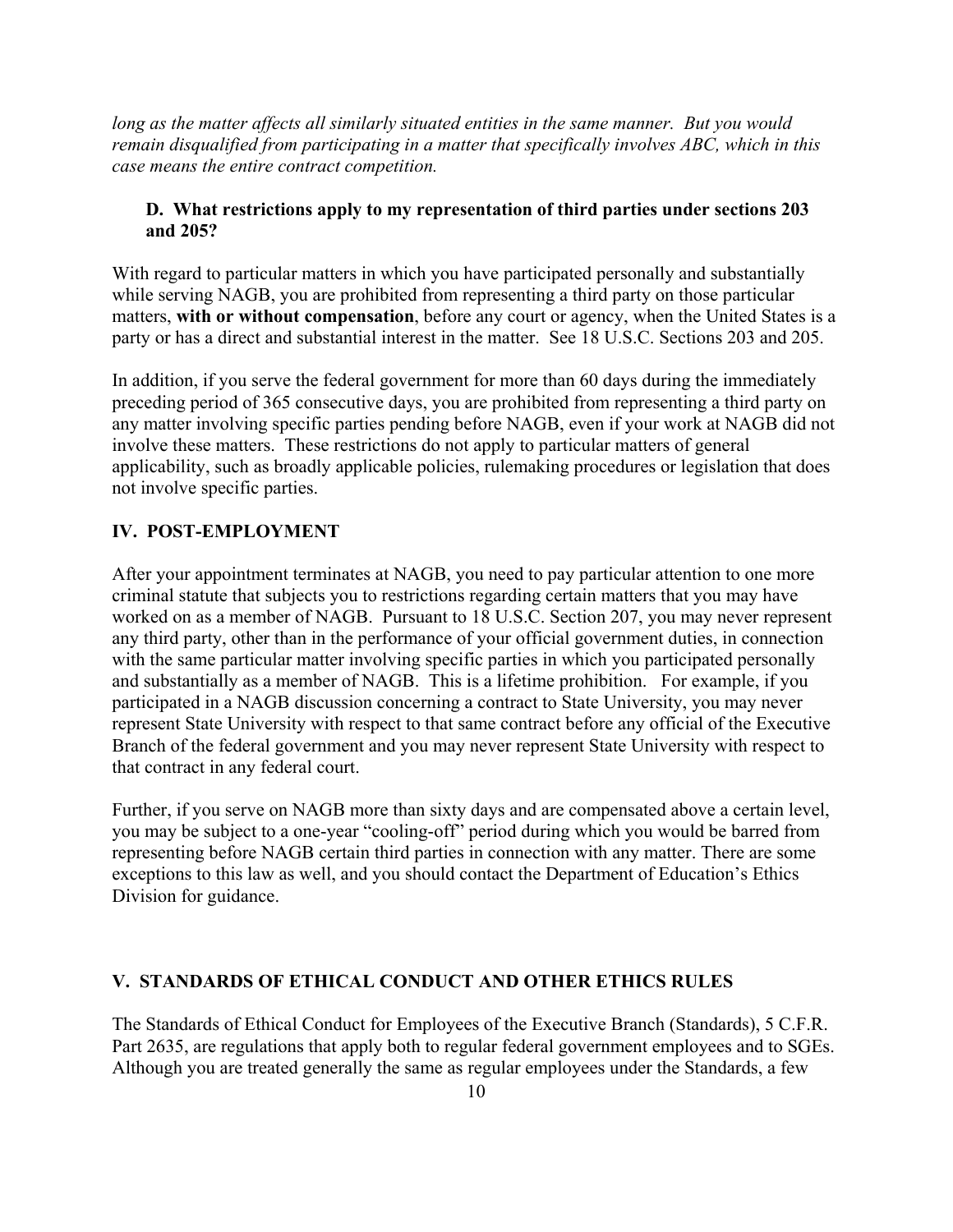<span id="page-9-0"></span>*long as the matter affects all similarly situated entities in the same manner. But you would remain disqualified from participating in a matter that specifically involves ABC, which in this case means the entire contract competition.* 

#### **D. What restrictions apply to my representation of third parties under sections 203 and 205?**

With regard to particular matters in which you have participated personally and substantially while serving NAGB, you are prohibited from representing a third party on those particular matters, **with or without compensation**, before any court or agency, when the United States is a party or has a direct and substantial interest in the matter. See 18 U.S.C. Sections 203 and 205.

In addition, if you serve the federal government for more than 60 days during the immediately preceding period of 365 consecutive days, you are prohibited from representing a third party on any matter involving specific parties pending before NAGB, even if your work at NAGB did not involve these matters. These restrictions do not apply to particular matters of general applicability, such as broadly applicable policies, rulemaking procedures or legislation that does not involve specific parties.

#### **IV. POST-EMPLOYMENT**

After your appointment terminates at NAGB, you need to pay particular attention to one more criminal statute that subjects you to restrictions regarding certain matters that you may have worked on as a member of NAGB. Pursuant to 18 U.S.C. Section 207, you may never represent any third party, other than in the performance of your official government duties, in connection with the same particular matter involving specific parties in which you participated personally and substantially as a member of NAGB. This is a lifetime prohibition. For example, if you participated in a NAGB discussion concerning a contract to State University, you may never represent State University with respect to that same contract before any official of the Executive Branch of the federal government and you may never represent State University with respect to that contract in any federal court.

Further, if you serve on NAGB more than sixty days and are compensated above a certain level, you may be subject to a one-year "cooling-off" period during which you would be barred from representing before NAGB certain third parties in connection with any matter. There are some exceptions to this law as well, and you should contact the Department of Education's Ethics Division for guidance.

#### **V. STANDARDS OF ETHICAL CONDUCT AND OTHER ETHICS RULES**

The Standards of Ethical Conduct for Employees of the Executive Branch (Standards), 5 C.F.R. Part 2635, are regulations that apply both to regular federal government employees and to SGEs. Although you are treated generally the same as regular employees under the Standards, a few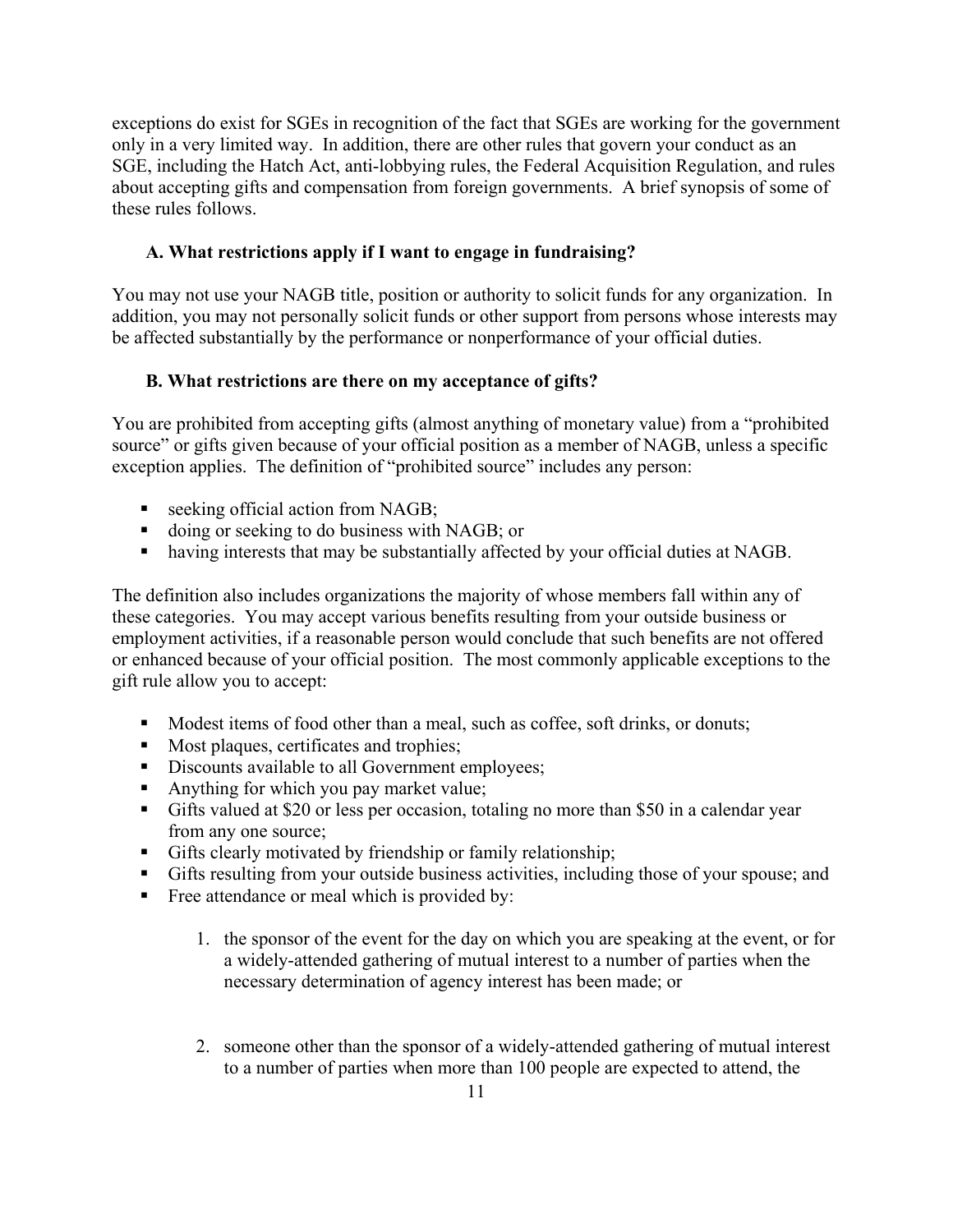<span id="page-10-0"></span>exceptions do exist for SGEs in recognition of the fact that SGEs are working for the government only in a very limited way. In addition, there are other rules that govern your conduct as an SGE, including the Hatch Act, anti-lobbying rules, the Federal Acquisition Regulation, and rules about accepting gifts and compensation from foreign governments. A brief synopsis of some of these rules follows.

#### **A. What restrictions apply if I want to engage in fundraising?**

You may not use your NAGB title, position or authority to solicit funds for any organization. In addition, you may not personally solicit funds or other support from persons whose interests may be affected substantially by the performance or nonperformance of your official duties.

#### **B. What restrictions are there on my acceptance of gifts?**

You are prohibited from accepting gifts (almost anything of monetary value) from a "prohibited source" or gifts given because of your official position as a member of NAGB, unless a specific exception applies. The definition of "prohibited source" includes any person:

- seeking official action from NAGB;
- doing or seeking to do business with NAGB; or
- having interests that may be substantially affected by your official duties at NAGB.

The definition also includes organizations the majority of whose members fall within any of these categories. You may accept various benefits resulting from your outside business or employment activities, if a reasonable person would conclude that such benefits are not offered or enhanced because of your official position. The most commonly applicable exceptions to the gift rule allow you to accept:

- Modest items of food other than a meal, such as coffee, soft drinks, or donuts;
- Most plaques, certificates and trophies;
- Discounts available to all Government employees;
- Anything for which you pay market value;
- Gifts valued at \$20 or less per occasion, totaling no more than \$50 in a calendar year from any one source;
- Gifts clearly motivated by friendship or family relationship;
- Gifts resulting from your outside business activities, including those of your spouse; and
- Free attendance or meal which is provided by:
	- 1. the sponsor of the event for the day on which you are speaking at the event, or for a widely-attended gathering of mutual interest to a number of parties when the necessary determination of agency interest has been made; or
	- 2. someone other than the sponsor of a widely-attended gathering of mutual interest to a number of parties when more than 100 people are expected to attend, the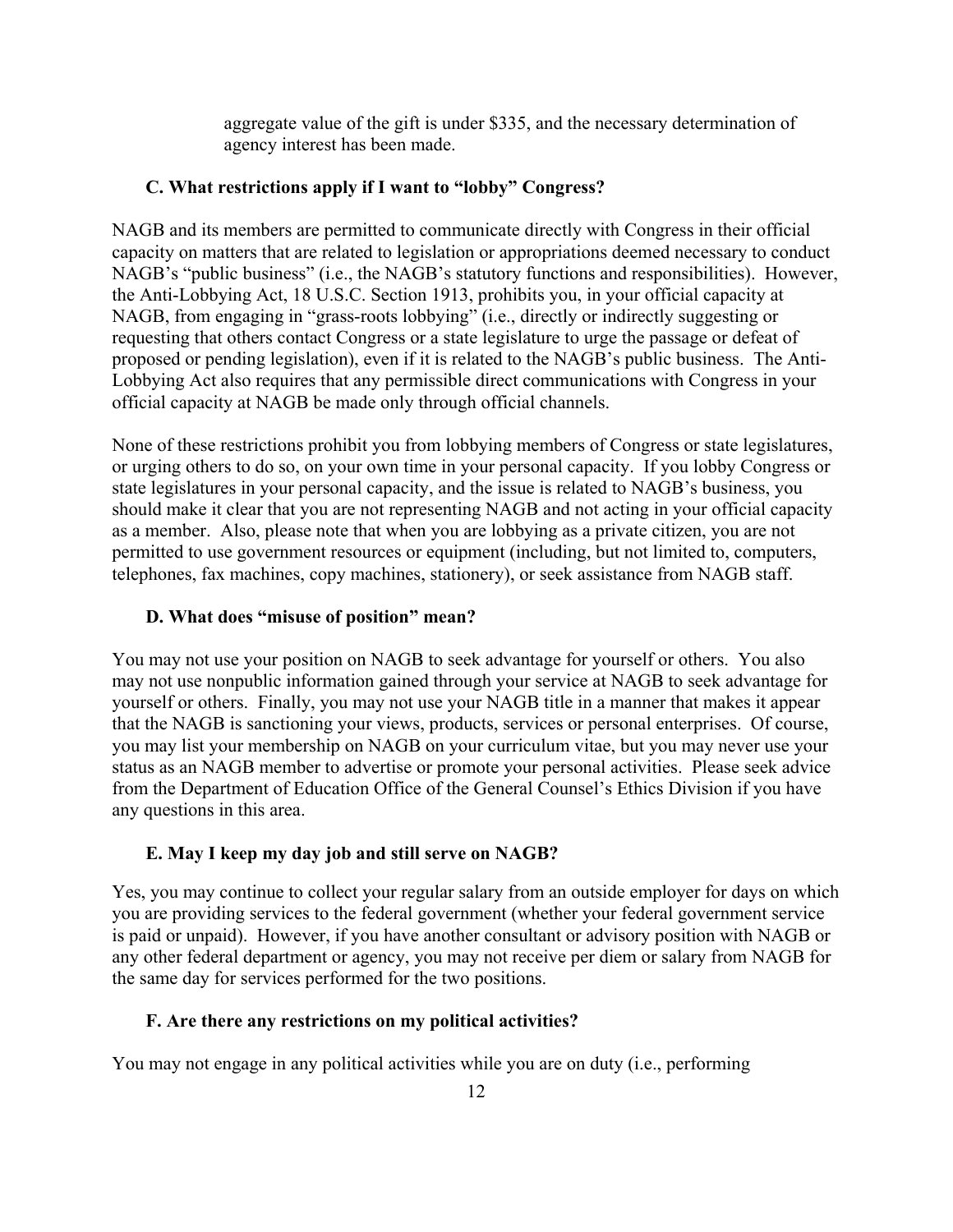aggregate value of the gift is under \$335, and the necessary determination of agency interest has been made.

#### <span id="page-11-0"></span>**C. What restrictions apply if I want to "lobby" Congress?**

NAGB and its members are permitted to communicate directly with Congress in their official capacity on matters that are related to legislation or appropriations deemed necessary to conduct NAGB's "public business" (i.e., the NAGB's statutory functions and responsibilities). However, the Anti-Lobbying Act, 18 U.S.C. Section 1913, prohibits you, in your official capacity at NAGB, from engaging in "grass-roots lobbying" (i.e., directly or indirectly suggesting or requesting that others contact Congress or a state legislature to urge the passage or defeat of proposed or pending legislation), even if it is related to the NAGB's public business. The Anti-Lobbying Act also requires that any permissible direct communications with Congress in your official capacity at NAGB be made only through official channels.

None of these restrictions prohibit you from lobbying members of Congress or state legislatures, or urging others to do so, on your own time in your personal capacity. If you lobby Congress or state legislatures in your personal capacity, and the issue is related to NAGB's business, you should make it clear that you are not representing NAGB and not acting in your official capacity as a member. Also, please note that when you are lobbying as a private citizen, you are not permitted to use government resources or equipment (including, but not limited to, computers, telephones, fax machines, copy machines, stationery), or seek assistance from NAGB staff.

#### **D. What does "misuse of position" mean?**

You may not use your position on NAGB to seek advantage for yourself or others. You also may not use nonpublic information gained through your service at NAGB to seek advantage for yourself or others. Finally, you may not use your NAGB title in a manner that makes it appear that the NAGB is sanctioning your views, products, services or personal enterprises. Of course, you may list your membership on NAGB on your curriculum vitae, but you may never use your status as an NAGB member to advertise or promote your personal activities. Please seek advice from the Department of Education Office of the General Counsel's Ethics Division if you have any questions in this area.

#### **E. May I keep my day job and still serve on NAGB?**

Yes, you may continue to collect your regular salary from an outside employer for days on which you are providing services to the federal government (whether your federal government service is paid or unpaid). However, if you have another consultant or advisory position with NAGB or any other federal department or agency, you may not receive per diem or salary from NAGB for the same day for services performed for the two positions.

#### **F. Are there any restrictions on my political activities?**

You may not engage in any political activities while you are on duty (i.e., performing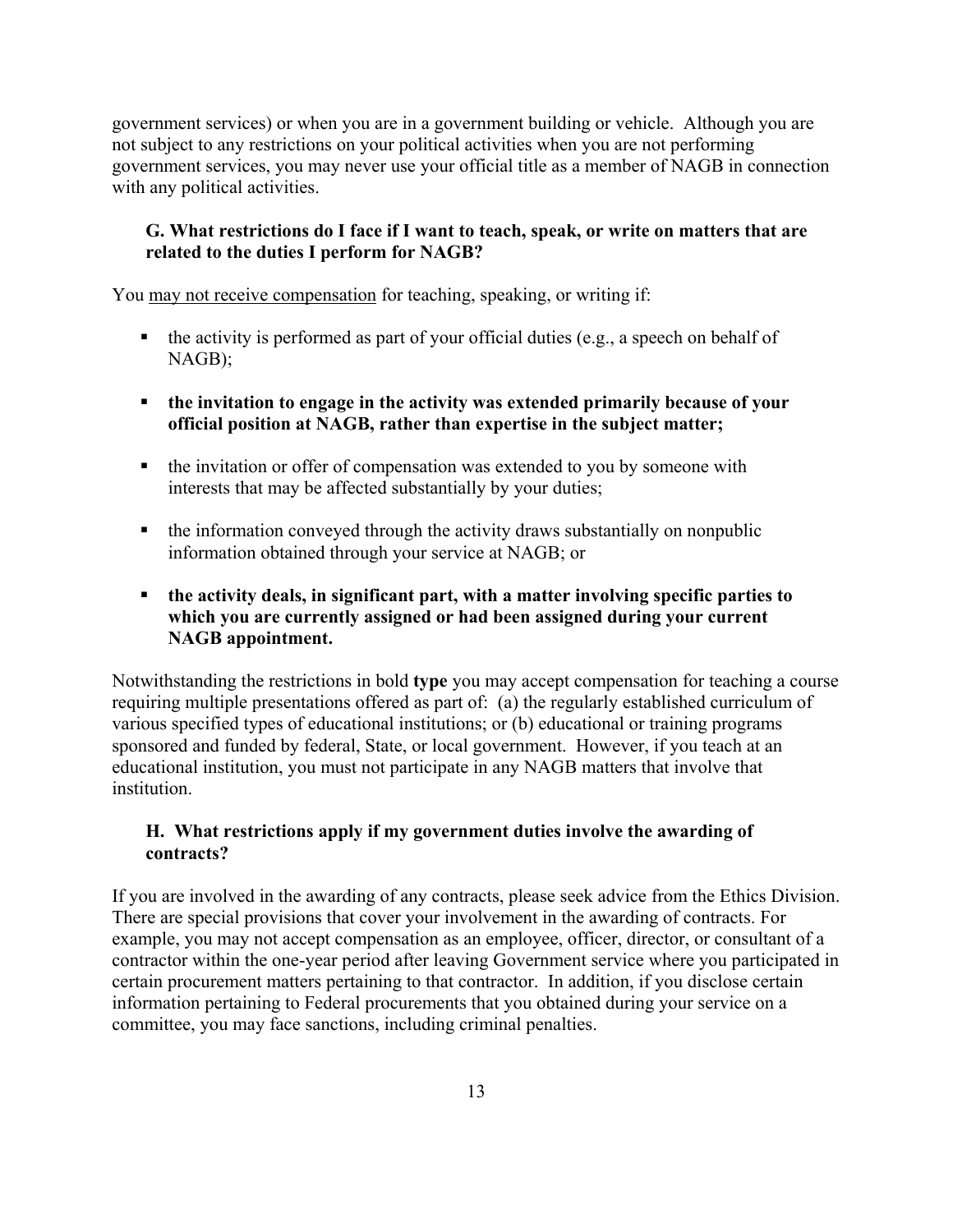<span id="page-12-0"></span>government services) or when you are in a government building or vehicle. Although you are not subject to any restrictions on your political activities when you are not performing government services, you may never use your official title as a member of NAGB in connection with any political activities.

#### **G. What restrictions do I face if I want to teach, speak, or write on matters that are related to the duties I perform for NAGB?**

You may not receive compensation for teaching, speaking, or writing if:

- $\blacksquare$  the activity is performed as part of your official duties (e.g., a speech on behalf of NAGB);
- **the invitation to engage in the activity was extended primarily because of your official position at NAGB, rather than expertise in the subject matter;**
- the invitation or offer of compensation was extended to you by someone with interests that may be affected substantially by your duties;
- the information conveyed through the activity draws substantially on nonpublic information obtained through your service at NAGB; or
- **the activity deals, in significant part, with a matter involving specific parties to which you are currently assigned or had been assigned during your current NAGB appointment.**

Notwithstanding the restrictions in bold **type** you may accept compensation for teaching a course requiring multiple presentations offered as part of: (a) the regularly established curriculum of various specified types of educational institutions; or (b) educational or training programs sponsored and funded by federal, State, or local government. However, if you teach at an educational institution, you must not participate in any NAGB matters that involve that institution.

#### **contracts?H. What restrictions apply if my government duties involve the awarding of**

If you are involved in the awarding of any contracts, please seek advice from the Ethics Division. There are special provisions that cover your involvement in the awarding of contracts. For example, you may not accept compensation as an employee, officer, director, or consultant of a contractor within the one-year period after leaving Government service where you participated in certain procurement matters pertaining to that contractor. In addition, if you disclose certain information pertaining to Federal procurements that you obtained during your service on a committee, you may face sanctions, including criminal penalties.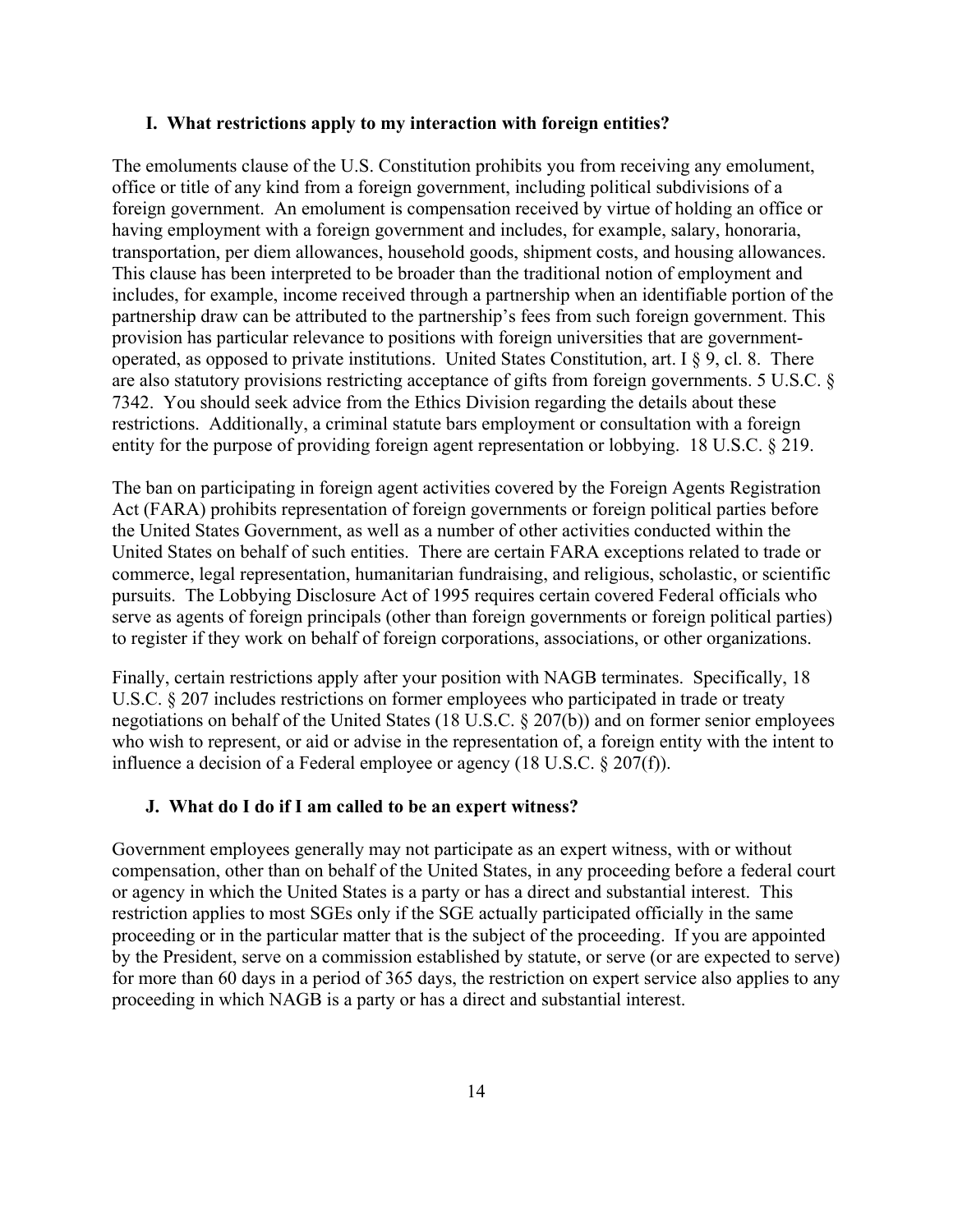#### <span id="page-13-0"></span>**I. What restrictions apply to my interaction with foreign entities?**

The emoluments clause of the U.S. Constitution prohibits you from receiving any emolument, office or title of any kind from a foreign government, including political subdivisions of a foreign government. An emolument is compensation received by virtue of holding an office or having employment with a foreign government and includes, for example, salary, honoraria, transportation, per diem allowances, household goods, shipment costs, and housing allowances. This clause has been interpreted to be broader than the traditional notion of employment and includes, for example, income received through a partnership when an identifiable portion of the partnership draw can be attributed to the partnership's fees from such foreign government. This provision has particular relevance to positions with foreign universities that are governmentoperated, as opposed to private institutions. United States Constitution, art. I § 9, cl. 8. There are also statutory provisions restricting acceptance of gifts from foreign governments. 5 U.S.C. § 7342. You should seek advice from the Ethics Division regarding the details about these restrictions. Additionally, a criminal statute bars employment or consultation with a foreign entity for the purpose of providing foreign agent representation or lobbying. 18 U.S.C. § 219.

The ban on participating in foreign agent activities covered by the Foreign Agents Registration Act (FARA) prohibits representation of foreign governments or foreign political parties before the United States Government, as well as a number of other activities conducted within the United States on behalf of such entities. There are certain FARA exceptions related to trade or commerce, legal representation, humanitarian fundraising, and religious, scholastic, or scientific pursuits. The Lobbying Disclosure Act of 1995 requires certain covered Federal officials who serve as agents of foreign principals (other than foreign governments or foreign political parties) to register if they work on behalf of foreign corporations, associations, or other organizations.

Finally, certain restrictions apply after your position with NAGB terminates. Specifically, 18 U.S.C. § 207 includes restrictions on former employees who participated in trade or treaty negotiations on behalf of the United States (18 U.S.C. § 207(b)) and on former senior employees who wish to represent, or aid or advise in the representation of, a foreign entity with the intent to influence a decision of a Federal employee or agency (18 U.S.C. § 207(f)).

#### **J. What do I do if I am called to be an expert witness?**

Government employees generally may not participate as an expert witness, with or without compensation, other than on behalf of the United States, in any proceeding before a federal court or agency in which the United States is a party or has a direct and substantial interest. This restriction applies to most SGEs only if the SGE actually participated officially in the same proceeding or in the particular matter that is the subject of the proceeding. If you are appointed by the President, serve on a commission established by statute, or serve (or are expected to serve) for more than 60 days in a period of 365 days, the restriction on expert service also applies to any proceeding in which NAGB is a party or has a direct and substantial interest.